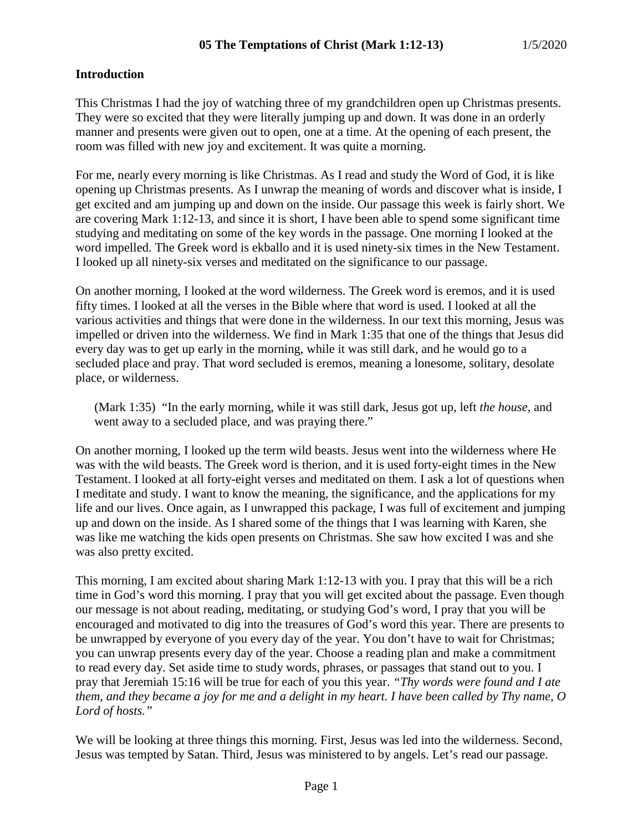#### **Introduction**

This Christmas I had the joy of watching three of my grandchildren open up Christmas presents. They were so excited that they were literally jumping up and down. It was done in an orderly manner and presents were given out to open, one at a time. At the opening of each present, the room was filled with new joy and excitement. It was quite a morning.

For me, nearly every morning is like Christmas. As I read and study the Word of God, it is like opening up Christmas presents. As I unwrap the meaning of words and discover what is inside, I get excited and am jumping up and down on the inside. Our passage this week is fairly short. We are covering Mark 1:12-13, and since it is short, I have been able to spend some significant time studying and meditating on some of the key words in the passage. One morning I looked at the word impelled. The Greek word is ekballo and it is used ninety-six times in the New Testament. I looked up all ninety-six verses and meditated on the significance to our passage.

On another morning, I looked at the word wilderness. The Greek word is eremos, and it is used fifty times. I looked at all the verses in the Bible where that word is used. I looked at all the various activities and things that were done in the wilderness. In our text this morning, Jesus was impelled or driven into the wilderness. We find in Mark 1:35 that one of the things that Jesus did every day was to get up early in the morning, while it was still dark, and he would go to a secluded place and pray. That word secluded is eremos, meaning a lonesome, solitary, desolate place, or wilderness.

(Mark 1:35) "In the early morning, while it was still dark, Jesus got up, left *the house,* and went away to a secluded place, and was praying there."

On another morning, I looked up the term wild beasts. Jesus went into the wilderness where He was with the wild beasts. The Greek word is therion, and it is used forty-eight times in the New Testament. I looked at all forty-eight verses and meditated on them. I ask a lot of questions when I meditate and study. I want to know the meaning, the significance, and the applications for my life and our lives. Once again, as I unwrapped this package, I was full of excitement and jumping up and down on the inside. As I shared some of the things that I was learning with Karen, she was like me watching the kids open presents on Christmas. She saw how excited I was and she was also pretty excited.

This morning, I am excited about sharing Mark 1:12-13 with you. I pray that this will be a rich time in God's word this morning. I pray that you will get excited about the passage. Even though our message is not about reading, meditating, or studying God's word, I pray that you will be encouraged and motivated to dig into the treasures of God's word this year. There are presents to be unwrapped by everyone of you every day of the year. You don't have to wait for Christmas; you can unwrap presents every day of the year. Choose a reading plan and make a commitment to read every day. Set aside time to study words, phrases, or passages that stand out to you. I pray that Jeremiah 15:16 will be true for each of you this year. *"Thy words were found and I ate them, and they became a joy for me and a delight in my heart. I have been called by Thy name, O Lord of hosts."*

We will be looking at three things this morning. First, Jesus was led into the wilderness. Second, Jesus was tempted by Satan. Third, Jesus was ministered to by angels. Let's read our passage.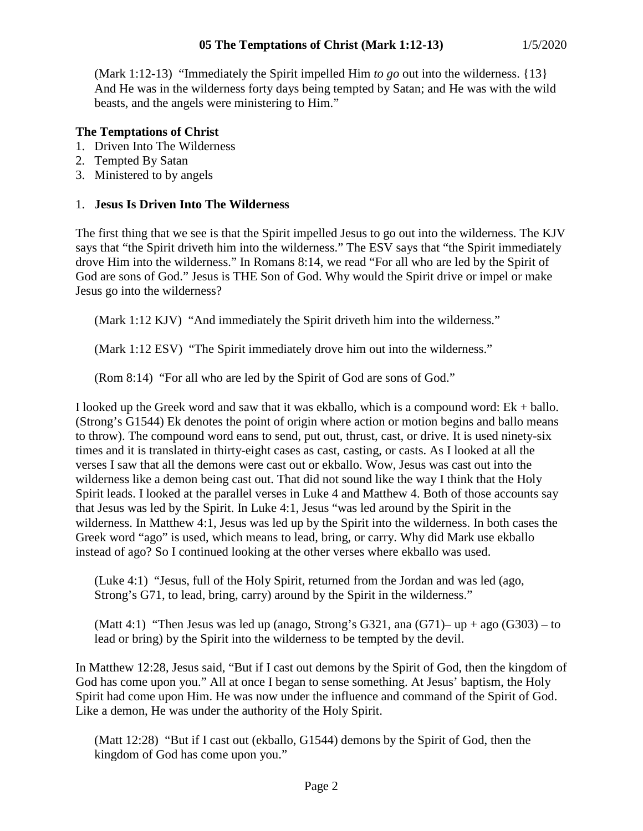(Mark 1:12-13) "Immediately the Spirit impelled Him *to go* out into the wilderness. {13} And He was in the wilderness forty days being tempted by Satan; and He was with the wild beasts, and the angels were ministering to Him."

# **The Temptations of Christ**

- 1. Driven Into The Wilderness
- 2. Tempted By Satan
- 3. Ministered to by angels

### 1. **Jesus Is Driven Into The Wilderness**

The first thing that we see is that the Spirit impelled Jesus to go out into the wilderness. The KJV says that "the Spirit driveth him into the wilderness." The ESV says that "the Spirit immediately drove Him into the wilderness." In Romans 8:14, we read "For all who are led by the Spirit of God are sons of God." Jesus is THE Son of God. Why would the Spirit drive or impel or make Jesus go into the wilderness?

(Mark 1:12 KJV) "And immediately the Spirit driveth him into the wilderness."

(Mark 1:12 ESV) "The Spirit immediately drove him out into the wilderness."

(Rom 8:14) "For all who are led by the Spirit of God are sons of God."

I looked up the Greek word and saw that it was ekballo, which is a compound word:  $Ek + ballo$ . (Strong's G1544) Ek denotes the point of origin where action or motion begins and ballo means to throw). The compound word eans to send, put out, thrust, cast, or drive. It is used ninety-six times and it is translated in thirty-eight cases as cast, casting, or casts. As I looked at all the verses I saw that all the demons were cast out or ekballo. Wow, Jesus was cast out into the wilderness like a demon being cast out. That did not sound like the way I think that the Holy Spirit leads. I looked at the parallel verses in Luke 4 and Matthew 4. Both of those accounts say that Jesus was led by the Spirit. In Luke 4:1, Jesus "was led around by the Spirit in the wilderness. In Matthew 4:1, Jesus was led up by the Spirit into the wilderness. In both cases the Greek word "ago" is used, which means to lead, bring, or carry. Why did Mark use ekballo instead of ago? So I continued looking at the other verses where ekballo was used.

(Luke 4:1) "Jesus, full of the Holy Spirit, returned from the Jordan and was led (ago, Strong's G71, to lead, bring, carry) around by the Spirit in the wilderness."

(Matt 4:1) "Then Jesus was led up (anago, Strong's G321, ana (G71)– up  $+$  ago (G303) – to lead or bring) by the Spirit into the wilderness to be tempted by the devil.

In Matthew 12:28, Jesus said, "But if I cast out demons by the Spirit of God, then the kingdom of God has come upon you." All at once I began to sense something. At Jesus' baptism, the Holy Spirit had come upon Him. He was now under the influence and command of the Spirit of God. Like a demon, He was under the authority of the Holy Spirit.

(Matt 12:28) "But if I cast out (ekballo, G1544) demons by the Spirit of God, then the kingdom of God has come upon you."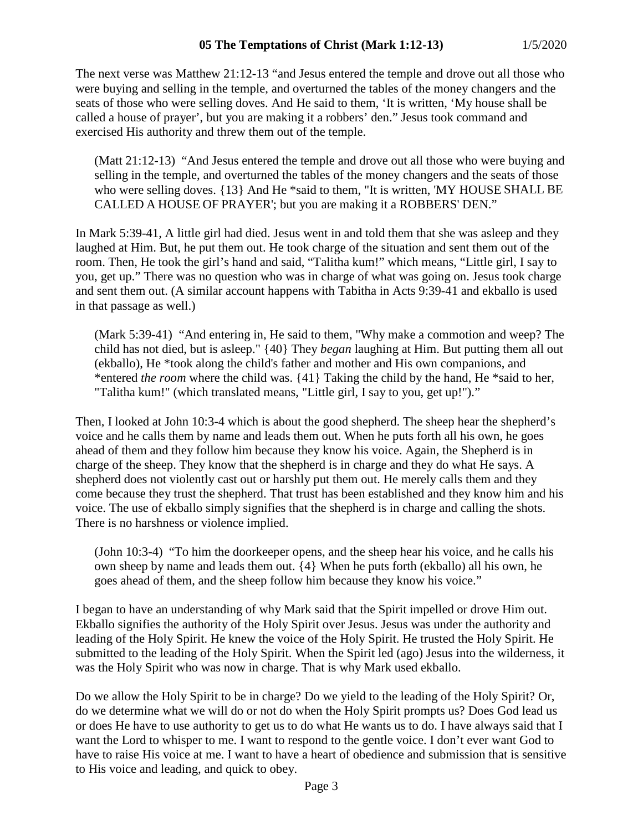The next verse was Matthew 21:12-13 "and Jesus entered the temple and drove out all those who were buying and selling in the temple, and overturned the tables of the money changers and the seats of those who were selling doves. And He said to them, 'It is written, 'My house shall be called a house of prayer', but you are making it a robbers' den." Jesus took command and exercised His authority and threw them out of the temple.

(Matt 21:12-13) "And Jesus entered the temple and drove out all those who were buying and selling in the temple, and overturned the tables of the money changers and the seats of those who were selling doves. {13} And He \*said to them, "It is written, 'MY HOUSE SHALL BE CALLED A HOUSE OF PRAYER'; but you are making it a ROBBERS' DEN."

In Mark 5:39-41, A little girl had died. Jesus went in and told them that she was asleep and they laughed at Him. But, he put them out. He took charge of the situation and sent them out of the room. Then, He took the girl's hand and said, "Talitha kum!" which means, "Little girl, I say to you, get up." There was no question who was in charge of what was going on. Jesus took charge and sent them out. (A similar account happens with Tabitha in Acts 9:39-41 and ekballo is used in that passage as well.)

(Mark 5:39-41) "And entering in, He said to them, "Why make a commotion and weep? The child has not died, but is asleep." {40} They *began* laughing at Him. But putting them all out (ekballo), He \*took along the child's father and mother and His own companions, and \*entered *the room* where the child was. {41} Taking the child by the hand, He \*said to her, "Talitha kum!" (which translated means, "Little girl, I say to you, get up!")."

Then, I looked at John 10:3-4 which is about the good shepherd. The sheep hear the shepherd's voice and he calls them by name and leads them out. When he puts forth all his own, he goes ahead of them and they follow him because they know his voice. Again, the Shepherd is in charge of the sheep. They know that the shepherd is in charge and they do what He says. A shepherd does not violently cast out or harshly put them out. He merely calls them and they come because they trust the shepherd. That trust has been established and they know him and his voice. The use of ekballo simply signifies that the shepherd is in charge and calling the shots. There is no harshness or violence implied.

(John 10:3-4) "To him the doorkeeper opens, and the sheep hear his voice, and he calls his own sheep by name and leads them out. {4} When he puts forth (ekballo) all his own, he goes ahead of them, and the sheep follow him because they know his voice."

I began to have an understanding of why Mark said that the Spirit impelled or drove Him out. Ekballo signifies the authority of the Holy Spirit over Jesus. Jesus was under the authority and leading of the Holy Spirit. He knew the voice of the Holy Spirit. He trusted the Holy Spirit. He submitted to the leading of the Holy Spirit. When the Spirit led (ago) Jesus into the wilderness, it was the Holy Spirit who was now in charge. That is why Mark used ekballo.

Do we allow the Holy Spirit to be in charge? Do we yield to the leading of the Holy Spirit? Or, do we determine what we will do or not do when the Holy Spirit prompts us? Does God lead us or does He have to use authority to get us to do what He wants us to do. I have always said that I want the Lord to whisper to me. I want to respond to the gentle voice. I don't ever want God to have to raise His voice at me. I want to have a heart of obedience and submission that is sensitive to His voice and leading, and quick to obey.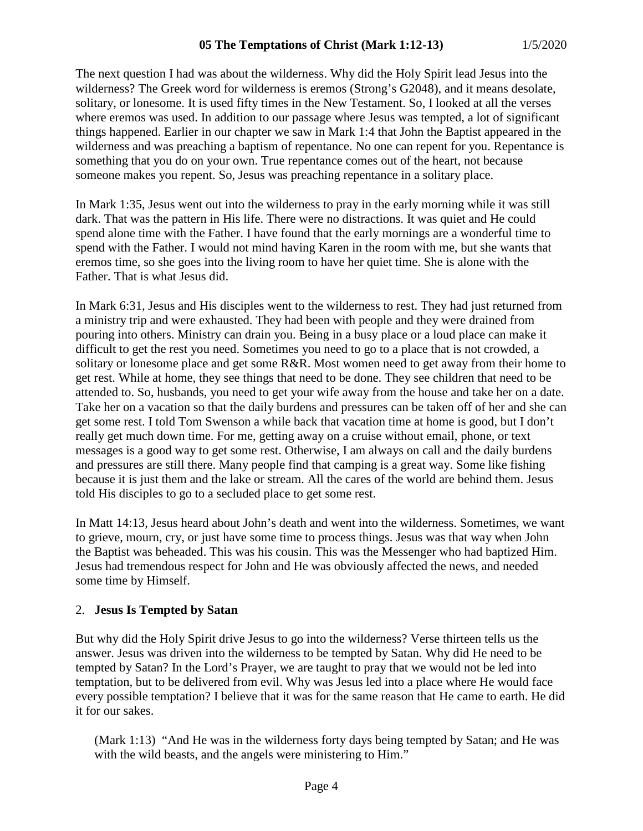The next question I had was about the wilderness. Why did the Holy Spirit lead Jesus into the wilderness? The Greek word for wilderness is eremos (Strong's G2048), and it means desolate, solitary, or lonesome. It is used fifty times in the New Testament. So, I looked at all the verses where eremos was used. In addition to our passage where Jesus was tempted, a lot of significant things happened. Earlier in our chapter we saw in Mark 1:4 that John the Baptist appeared in the wilderness and was preaching a baptism of repentance. No one can repent for you. Repentance is something that you do on your own. True repentance comes out of the heart, not because someone makes you repent. So, Jesus was preaching repentance in a solitary place.

In Mark 1:35, Jesus went out into the wilderness to pray in the early morning while it was still dark. That was the pattern in His life. There were no distractions. It was quiet and He could spend alone time with the Father. I have found that the early mornings are a wonderful time to spend with the Father. I would not mind having Karen in the room with me, but she wants that eremos time, so she goes into the living room to have her quiet time. She is alone with the Father. That is what Jesus did.

In Mark 6:31, Jesus and His disciples went to the wilderness to rest. They had just returned from a ministry trip and were exhausted. They had been with people and they were drained from pouring into others. Ministry can drain you. Being in a busy place or a loud place can make it difficult to get the rest you need. Sometimes you need to go to a place that is not crowded, a solitary or lonesome place and get some R&R. Most women need to get away from their home to get rest. While at home, they see things that need to be done. They see children that need to be attended to. So, husbands, you need to get your wife away from the house and take her on a date. Take her on a vacation so that the daily burdens and pressures can be taken off of her and she can get some rest. I told Tom Swenson a while back that vacation time at home is good, but I don't really get much down time. For me, getting away on a cruise without email, phone, or text messages is a good way to get some rest. Otherwise, I am always on call and the daily burdens and pressures are still there. Many people find that camping is a great way. Some like fishing because it is just them and the lake or stream. All the cares of the world are behind them. Jesus told His disciples to go to a secluded place to get some rest.

In Matt 14:13, Jesus heard about John's death and went into the wilderness. Sometimes, we want to grieve, mourn, cry, or just have some time to process things. Jesus was that way when John the Baptist was beheaded. This was his cousin. This was the Messenger who had baptized Him. Jesus had tremendous respect for John and He was obviously affected the news, and needed some time by Himself.

#### 2. **Jesus Is Tempted by Satan**

But why did the Holy Spirit drive Jesus to go into the wilderness? Verse thirteen tells us the answer. Jesus was driven into the wilderness to be tempted by Satan. Why did He need to be tempted by Satan? In the Lord's Prayer, we are taught to pray that we would not be led into temptation, but to be delivered from evil. Why was Jesus led into a place where He would face every possible temptation? I believe that it was for the same reason that He came to earth. He did it for our sakes.

(Mark 1:13) "And He was in the wilderness forty days being tempted by Satan; and He was with the wild beasts, and the angels were ministering to Him."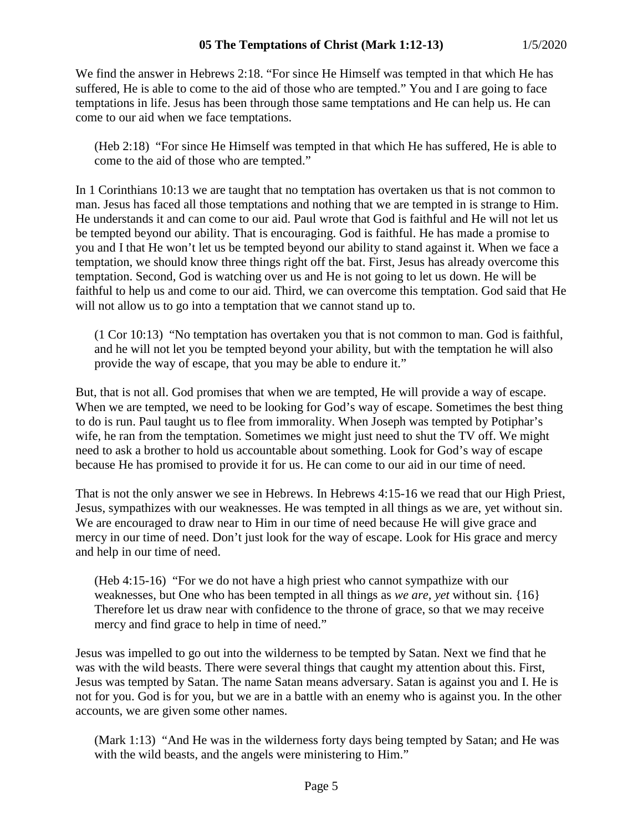We find the answer in Hebrews 2:18. "For since He Himself was tempted in that which He has suffered, He is able to come to the aid of those who are tempted." You and I are going to face temptations in life. Jesus has been through those same temptations and He can help us. He can come to our aid when we face temptations.

(Heb 2:18) "For since He Himself was tempted in that which He has suffered, He is able to come to the aid of those who are tempted."

In 1 Corinthians 10:13 we are taught that no temptation has overtaken us that is not common to man. Jesus has faced all those temptations and nothing that we are tempted in is strange to Him. He understands it and can come to our aid. Paul wrote that God is faithful and He will not let us be tempted beyond our ability. That is encouraging. God is faithful. He has made a promise to you and I that He won't let us be tempted beyond our ability to stand against it. When we face a temptation, we should know three things right off the bat. First, Jesus has already overcome this temptation. Second, God is watching over us and He is not going to let us down. He will be faithful to help us and come to our aid. Third, we can overcome this temptation. God said that He will not allow us to go into a temptation that we cannot stand up to.

(1 Cor 10:13) "No temptation has overtaken you that is not common to man. God is faithful, and he will not let you be tempted beyond your ability, but with the temptation he will also provide the way of escape, that you may be able to endure it."

But, that is not all. God promises that when we are tempted, He will provide a way of escape. When we are tempted, we need to be looking for God's way of escape. Sometimes the best thing to do is run. Paul taught us to flee from immorality. When Joseph was tempted by Potiphar's wife, he ran from the temptation. Sometimes we might just need to shut the TV off. We might need to ask a brother to hold us accountable about something. Look for God's way of escape because He has promised to provide it for us. He can come to our aid in our time of need.

That is not the only answer we see in Hebrews. In Hebrews 4:15-16 we read that our High Priest, Jesus, sympathizes with our weaknesses. He was tempted in all things as we are, yet without sin. We are encouraged to draw near to Him in our time of need because He will give grace and mercy in our time of need. Don't just look for the way of escape. Look for His grace and mercy and help in our time of need.

(Heb 4:15-16) "For we do not have a high priest who cannot sympathize with our weaknesses, but One who has been tempted in all things as *we are, yet* without sin. {16} Therefore let us draw near with confidence to the throne of grace, so that we may receive mercy and find grace to help in time of need."

Jesus was impelled to go out into the wilderness to be tempted by Satan. Next we find that he was with the wild beasts. There were several things that caught my attention about this. First, Jesus was tempted by Satan. The name Satan means adversary. Satan is against you and I. He is not for you. God is for you, but we are in a battle with an enemy who is against you. In the other accounts, we are given some other names.

(Mark 1:13) "And He was in the wilderness forty days being tempted by Satan; and He was with the wild beasts, and the angels were ministering to Him."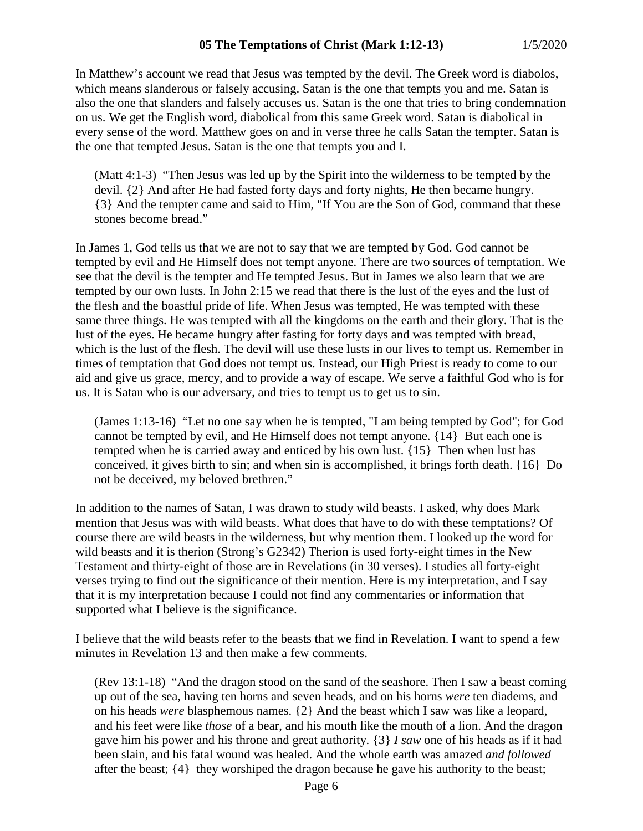In Matthew's account we read that Jesus was tempted by the devil. The Greek word is diabolos, which means slanderous or falsely accusing. Satan is the one that tempts you and me. Satan is also the one that slanders and falsely accuses us. Satan is the one that tries to bring condemnation on us. We get the English word, diabolical from this same Greek word. Satan is diabolical in every sense of the word. Matthew goes on and in verse three he calls Satan the tempter. Satan is the one that tempted Jesus. Satan is the one that tempts you and I.

(Matt 4:1-3) "Then Jesus was led up by the Spirit into the wilderness to be tempted by the devil. {2} And after He had fasted forty days and forty nights, He then became hungry. {3} And the tempter came and said to Him, "If You are the Son of God, command that these stones become bread."

In James 1, God tells us that we are not to say that we are tempted by God. God cannot be tempted by evil and He Himself does not tempt anyone. There are two sources of temptation. We see that the devil is the tempter and He tempted Jesus. But in James we also learn that we are tempted by our own lusts. In John 2:15 we read that there is the lust of the eyes and the lust of the flesh and the boastful pride of life. When Jesus was tempted, He was tempted with these same three things. He was tempted with all the kingdoms on the earth and their glory. That is the lust of the eyes. He became hungry after fasting for forty days and was tempted with bread, which is the lust of the flesh. The devil will use these lusts in our lives to tempt us. Remember in times of temptation that God does not tempt us. Instead, our High Priest is ready to come to our aid and give us grace, mercy, and to provide a way of escape. We serve a faithful God who is for us. It is Satan who is our adversary, and tries to tempt us to get us to sin.

(James 1:13-16) "Let no one say when he is tempted, "I am being tempted by God"; for God cannot be tempted by evil, and He Himself does not tempt anyone. {14} But each one is tempted when he is carried away and enticed by his own lust. {15} Then when lust has conceived, it gives birth to sin; and when sin is accomplished, it brings forth death. {16} Do not be deceived, my beloved brethren."

In addition to the names of Satan, I was drawn to study wild beasts. I asked, why does Mark mention that Jesus was with wild beasts. What does that have to do with these temptations? Of course there are wild beasts in the wilderness, but why mention them. I looked up the word for wild beasts and it is therion (Strong's G2342) Therion is used forty-eight times in the New Testament and thirty-eight of those are in Revelations (in 30 verses). I studies all forty-eight verses trying to find out the significance of their mention. Here is my interpretation, and I say that it is my interpretation because I could not find any commentaries or information that supported what I believe is the significance.

I believe that the wild beasts refer to the beasts that we find in Revelation. I want to spend a few minutes in Revelation 13 and then make a few comments.

(Rev 13:1-18) "And the dragon stood on the sand of the seashore. Then I saw a beast coming up out of the sea, having ten horns and seven heads, and on his horns *were* ten diadems, and on his heads *were* blasphemous names. {2} And the beast which I saw was like a leopard, and his feet were like *those* of a bear, and his mouth like the mouth of a lion. And the dragon gave him his power and his throne and great authority. {3} *I saw* one of his heads as if it had been slain, and his fatal wound was healed. And the whole earth was amazed *and followed* after the beast; {4} they worshiped the dragon because he gave his authority to the beast;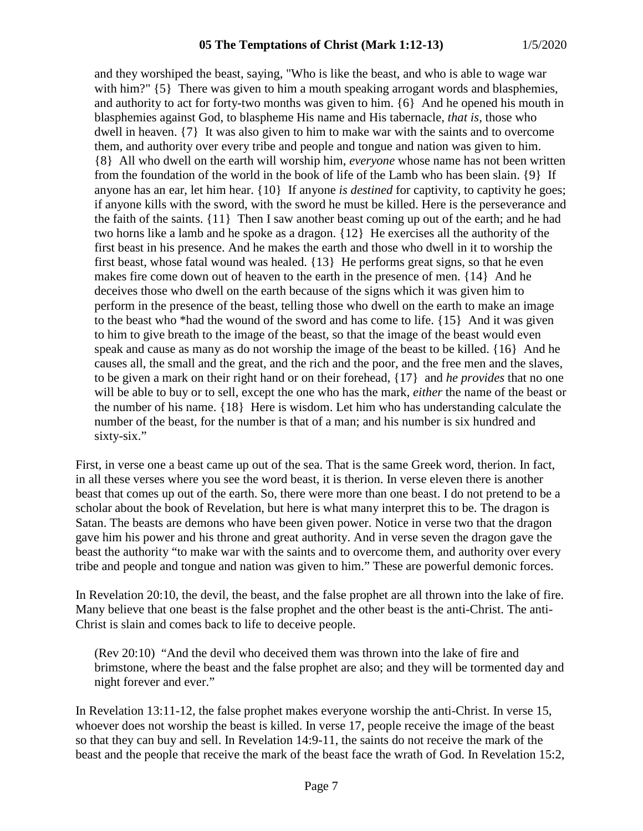and they worshiped the beast, saying, "Who is like the beast, and who is able to wage war with him?"  $\{5\}$  There was given to him a mouth speaking arrogant words and blasphemies, and authority to act for forty-two months was given to him. {6} And he opened his mouth in blasphemies against God, to blaspheme His name and His tabernacle, *that is,* those who dwell in heaven. {7} It was also given to him to make war with the saints and to overcome them, and authority over every tribe and people and tongue and nation was given to him. {8} All who dwell on the earth will worship him, *everyone* whose name has not been written from the foundation of the world in the book of life of the Lamb who has been slain. {9} If anyone has an ear, let him hear. {10} If anyone *is destined* for captivity, to captivity he goes; if anyone kills with the sword, with the sword he must be killed. Here is the perseverance and the faith of the saints. {11} Then I saw another beast coming up out of the earth; and he had two horns like a lamb and he spoke as a dragon. {12} He exercises all the authority of the first beast in his presence. And he makes the earth and those who dwell in it to worship the first beast, whose fatal wound was healed. {13} He performs great signs, so that he even makes fire come down out of heaven to the earth in the presence of men. {14} And he deceives those who dwell on the earth because of the signs which it was given him to perform in the presence of the beast, telling those who dwell on the earth to make an image to the beast who \*had the wound of the sword and has come to life. {15} And it was given to him to give breath to the image of the beast, so that the image of the beast would even speak and cause as many as do not worship the image of the beast to be killed. {16} And he causes all, the small and the great, and the rich and the poor, and the free men and the slaves, to be given a mark on their right hand or on their forehead, {17} and *he provides* that no one will be able to buy or to sell, except the one who has the mark, *either* the name of the beast or the number of his name. {18} Here is wisdom. Let him who has understanding calculate the number of the beast, for the number is that of a man; and his number is six hundred and sixty-six."

First, in verse one a beast came up out of the sea. That is the same Greek word, therion. In fact, in all these verses where you see the word beast, it is therion. In verse eleven there is another beast that comes up out of the earth. So, there were more than one beast. I do not pretend to be a scholar about the book of Revelation, but here is what many interpret this to be. The dragon is Satan. The beasts are demons who have been given power. Notice in verse two that the dragon gave him his power and his throne and great authority. And in verse seven the dragon gave the beast the authority "to make war with the saints and to overcome them, and authority over every tribe and people and tongue and nation was given to him." These are powerful demonic forces.

In Revelation 20:10, the devil, the beast, and the false prophet are all thrown into the lake of fire. Many believe that one beast is the false prophet and the other beast is the anti-Christ. The anti-Christ is slain and comes back to life to deceive people.

(Rev 20:10) "And the devil who deceived them was thrown into the lake of fire and brimstone, where the beast and the false prophet are also; and they will be tormented day and night forever and ever."

In Revelation 13:11-12, the false prophet makes everyone worship the anti-Christ. In verse 15, whoever does not worship the beast is killed. In verse 17, people receive the image of the beast so that they can buy and sell. In Revelation 14:9-11, the saints do not receive the mark of the beast and the people that receive the mark of the beast face the wrath of God. In Revelation 15:2,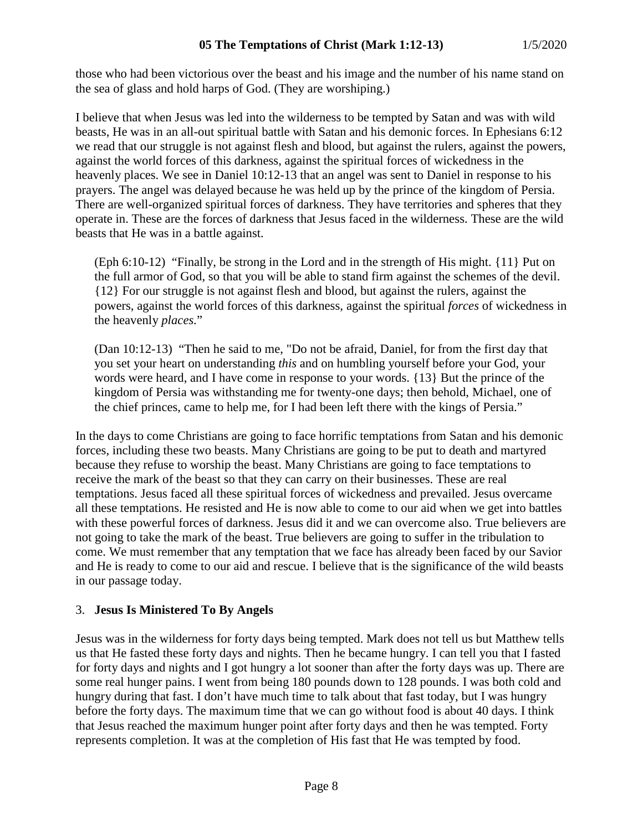those who had been victorious over the beast and his image and the number of his name stand on the sea of glass and hold harps of God. (They are worshiping.)

I believe that when Jesus was led into the wilderness to be tempted by Satan and was with wild beasts, He was in an all-out spiritual battle with Satan and his demonic forces. In Ephesians 6:12 we read that our struggle is not against flesh and blood, but against the rulers, against the powers, against the world forces of this darkness, against the spiritual forces of wickedness in the heavenly places. We see in Daniel 10:12-13 that an angel was sent to Daniel in response to his prayers. The angel was delayed because he was held up by the prince of the kingdom of Persia. There are well-organized spiritual forces of darkness. They have territories and spheres that they operate in. These are the forces of darkness that Jesus faced in the wilderness. These are the wild beasts that He was in a battle against.

(Eph 6:10-12) "Finally, be strong in the Lord and in the strength of His might. {11} Put on the full armor of God, so that you will be able to stand firm against the schemes of the devil. {12} For our struggle is not against flesh and blood, but against the rulers, against the powers, against the world forces of this darkness, against the spiritual *forces* of wickedness in the heavenly *places.*"

(Dan 10:12-13) "Then he said to me, "Do not be afraid, Daniel, for from the first day that you set your heart on understanding *this* and on humbling yourself before your God, your words were heard, and I have come in response to your words. {13} But the prince of the kingdom of Persia was withstanding me for twenty-one days; then behold, Michael, one of the chief princes, came to help me, for I had been left there with the kings of Persia."

In the days to come Christians are going to face horrific temptations from Satan and his demonic forces, including these two beasts. Many Christians are going to be put to death and martyred because they refuse to worship the beast. Many Christians are going to face temptations to receive the mark of the beast so that they can carry on their businesses. These are real temptations. Jesus faced all these spiritual forces of wickedness and prevailed. Jesus overcame all these temptations. He resisted and He is now able to come to our aid when we get into battles with these powerful forces of darkness. Jesus did it and we can overcome also. True believers are not going to take the mark of the beast. True believers are going to suffer in the tribulation to come. We must remember that any temptation that we face has already been faced by our Savior and He is ready to come to our aid and rescue. I believe that is the significance of the wild beasts in our passage today.

## 3. **Jesus Is Ministered To By Angels**

Jesus was in the wilderness for forty days being tempted. Mark does not tell us but Matthew tells us that He fasted these forty days and nights. Then he became hungry. I can tell you that I fasted for forty days and nights and I got hungry a lot sooner than after the forty days was up. There are some real hunger pains. I went from being 180 pounds down to 128 pounds. I was both cold and hungry during that fast. I don't have much time to talk about that fast today, but I was hungry before the forty days. The maximum time that we can go without food is about 40 days. I think that Jesus reached the maximum hunger point after forty days and then he was tempted. Forty represents completion. It was at the completion of His fast that He was tempted by food.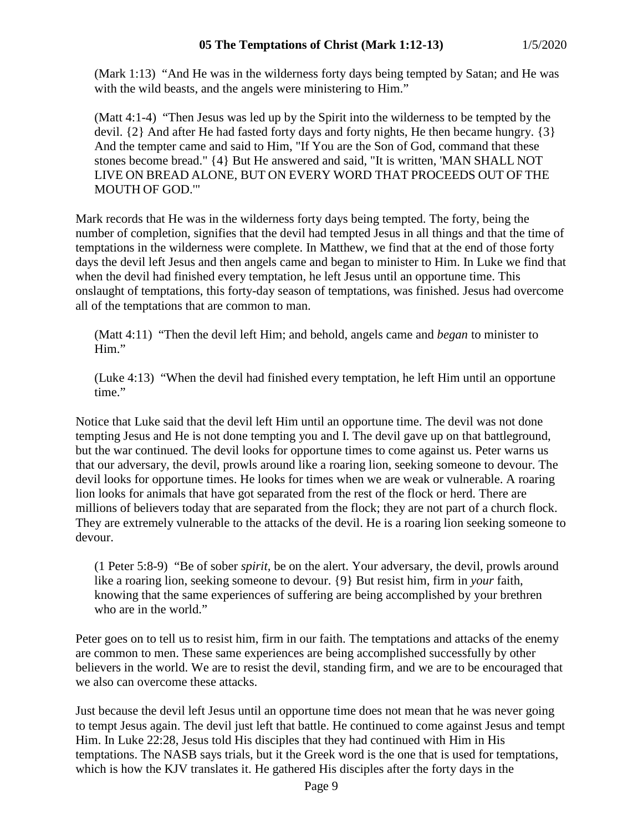(Mark 1:13) "And He was in the wilderness forty days being tempted by Satan; and He was with the wild beasts, and the angels were ministering to Him."

(Matt 4:1-4) "Then Jesus was led up by the Spirit into the wilderness to be tempted by the devil. {2} And after He had fasted forty days and forty nights, He then became hungry. {3} And the tempter came and said to Him, "If You are the Son of God, command that these stones become bread." {4} But He answered and said, "It is written, 'MAN SHALL NOT LIVE ON BREAD ALONE, BUT ON EVERY WORD THAT PROCEEDS OUT OF THE MOUTH OF GOD.'"

Mark records that He was in the wilderness forty days being tempted. The forty, being the number of completion, signifies that the devil had tempted Jesus in all things and that the time of temptations in the wilderness were complete. In Matthew, we find that at the end of those forty days the devil left Jesus and then angels came and began to minister to Him. In Luke we find that when the devil had finished every temptation, he left Jesus until an opportune time. This onslaught of temptations, this forty-day season of temptations, was finished. Jesus had overcome all of the temptations that are common to man.

(Matt 4:11) "Then the devil left Him; and behold, angels came and *began* to minister to Him."

(Luke 4:13) "When the devil had finished every temptation, he left Him until an opportune time."

Notice that Luke said that the devil left Him until an opportune time. The devil was not done tempting Jesus and He is not done tempting you and I. The devil gave up on that battleground, but the war continued. The devil looks for opportune times to come against us. Peter warns us that our adversary, the devil, prowls around like a roaring lion, seeking someone to devour. The devil looks for opportune times. He looks for times when we are weak or vulnerable. A roaring lion looks for animals that have got separated from the rest of the flock or herd. There are millions of believers today that are separated from the flock; they are not part of a church flock. They are extremely vulnerable to the attacks of the devil. He is a roaring lion seeking someone to devour.

(1 Peter 5:8-9) "Be of sober *spirit,* be on the alert. Your adversary, the devil, prowls around like a roaring lion, seeking someone to devour. {9} But resist him, firm in *your* faith, knowing that the same experiences of suffering are being accomplished by your brethren who are in the world."

Peter goes on to tell us to resist him, firm in our faith. The temptations and attacks of the enemy are common to men. These same experiences are being accomplished successfully by other believers in the world. We are to resist the devil, standing firm, and we are to be encouraged that we also can overcome these attacks.

Just because the devil left Jesus until an opportune time does not mean that he was never going to tempt Jesus again. The devil just left that battle. He continued to come against Jesus and tempt Him. In Luke 22:28, Jesus told His disciples that they had continued with Him in His temptations. The NASB says trials, but it the Greek word is the one that is used for temptations, which is how the KJV translates it. He gathered His disciples after the forty days in the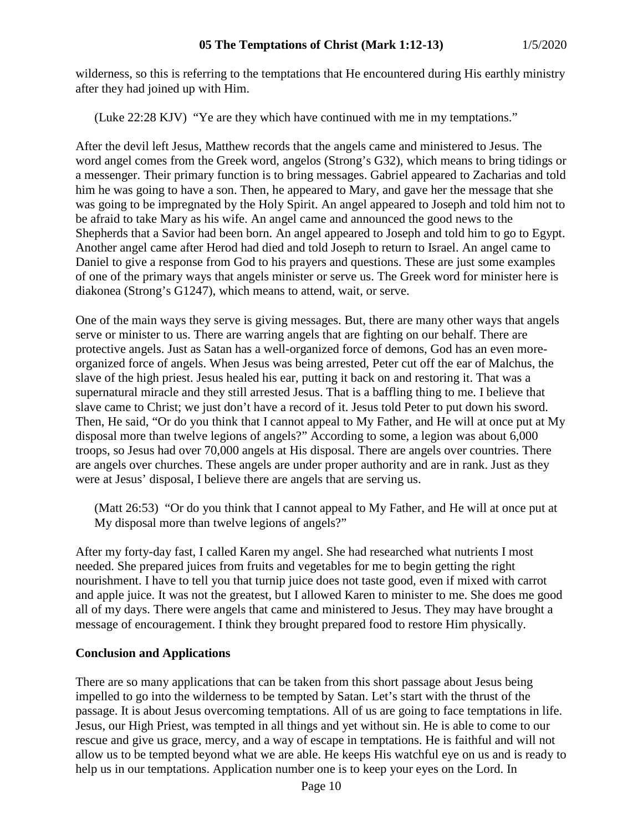wilderness, so this is referring to the temptations that He encountered during His earthly ministry after they had joined up with Him.

(Luke 22:28 KJV) "Ye are they which have continued with me in my temptations."

After the devil left Jesus, Matthew records that the angels came and ministered to Jesus. The word angel comes from the Greek word, angelos (Strong's G32), which means to bring tidings or a messenger. Their primary function is to bring messages. Gabriel appeared to Zacharias and told him he was going to have a son. Then, he appeared to Mary, and gave her the message that she was going to be impregnated by the Holy Spirit. An angel appeared to Joseph and told him not to be afraid to take Mary as his wife. An angel came and announced the good news to the Shepherds that a Savior had been born. An angel appeared to Joseph and told him to go to Egypt. Another angel came after Herod had died and told Joseph to return to Israel. An angel came to Daniel to give a response from God to his prayers and questions. These are just some examples of one of the primary ways that angels minister or serve us. The Greek word for minister here is diakonea (Strong's G1247), which means to attend, wait, or serve.

One of the main ways they serve is giving messages. But, there are many other ways that angels serve or minister to us. There are warring angels that are fighting on our behalf. There are protective angels. Just as Satan has a well-organized force of demons, God has an even moreorganized force of angels. When Jesus was being arrested, Peter cut off the ear of Malchus, the slave of the high priest. Jesus healed his ear, putting it back on and restoring it. That was a supernatural miracle and they still arrested Jesus. That is a baffling thing to me. I believe that slave came to Christ; we just don't have a record of it. Jesus told Peter to put down his sword. Then, He said, "Or do you think that I cannot appeal to My Father, and He will at once put at My disposal more than twelve legions of angels?" According to some, a legion was about 6,000 troops, so Jesus had over 70,000 angels at His disposal. There are angels over countries. There are angels over churches. These angels are under proper authority and are in rank. Just as they were at Jesus' disposal, I believe there are angels that are serving us.

(Matt 26:53) "Or do you think that I cannot appeal to My Father, and He will at once put at My disposal more than twelve legions of angels?"

After my forty-day fast, I called Karen my angel. She had researched what nutrients I most needed. She prepared juices from fruits and vegetables for me to begin getting the right nourishment. I have to tell you that turnip juice does not taste good, even if mixed with carrot and apple juice. It was not the greatest, but I allowed Karen to minister to me. She does me good all of my days. There were angels that came and ministered to Jesus. They may have brought a message of encouragement. I think they brought prepared food to restore Him physically.

## **Conclusion and Applications**

There are so many applications that can be taken from this short passage about Jesus being impelled to go into the wilderness to be tempted by Satan. Let's start with the thrust of the passage. It is about Jesus overcoming temptations. All of us are going to face temptations in life. Jesus, our High Priest, was tempted in all things and yet without sin. He is able to come to our rescue and give us grace, mercy, and a way of escape in temptations. He is faithful and will not allow us to be tempted beyond what we are able. He keeps His watchful eye on us and is ready to help us in our temptations. Application number one is to keep your eyes on the Lord. In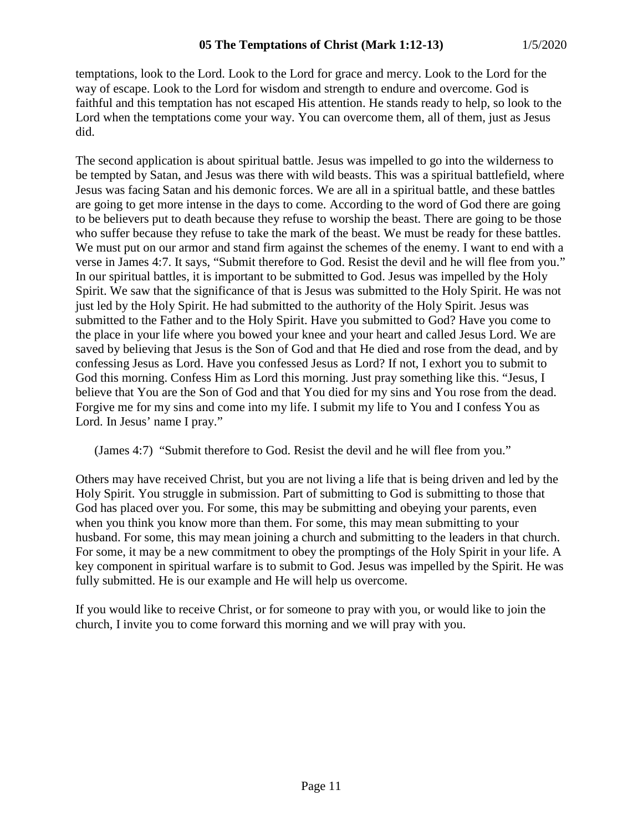temptations, look to the Lord. Look to the Lord for grace and mercy. Look to the Lord for the way of escape. Look to the Lord for wisdom and strength to endure and overcome. God is faithful and this temptation has not escaped His attention. He stands ready to help, so look to the Lord when the temptations come your way. You can overcome them, all of them, just as Jesus did.

The second application is about spiritual battle. Jesus was impelled to go into the wilderness to be tempted by Satan, and Jesus was there with wild beasts. This was a spiritual battlefield, where Jesus was facing Satan and his demonic forces. We are all in a spiritual battle, and these battles are going to get more intense in the days to come. According to the word of God there are going to be believers put to death because they refuse to worship the beast. There are going to be those who suffer because they refuse to take the mark of the beast. We must be ready for these battles. We must put on our armor and stand firm against the schemes of the enemy. I want to end with a verse in James 4:7. It says, "Submit therefore to God. Resist the devil and he will flee from you." In our spiritual battles, it is important to be submitted to God. Jesus was impelled by the Holy Spirit. We saw that the significance of that is Jesus was submitted to the Holy Spirit. He was not just led by the Holy Spirit. He had submitted to the authority of the Holy Spirit. Jesus was submitted to the Father and to the Holy Spirit. Have you submitted to God? Have you come to the place in your life where you bowed your knee and your heart and called Jesus Lord. We are saved by believing that Jesus is the Son of God and that He died and rose from the dead, and by confessing Jesus as Lord. Have you confessed Jesus as Lord? If not, I exhort you to submit to God this morning. Confess Him as Lord this morning. Just pray something like this. "Jesus, I believe that You are the Son of God and that You died for my sins and You rose from the dead. Forgive me for my sins and come into my life. I submit my life to You and I confess You as Lord. In Jesus' name I pray."

(James 4:7) "Submit therefore to God. Resist the devil and he will flee from you."

Others may have received Christ, but you are not living a life that is being driven and led by the Holy Spirit. You struggle in submission. Part of submitting to God is submitting to those that God has placed over you. For some, this may be submitting and obeying your parents, even when you think you know more than them. For some, this may mean submitting to your husband. For some, this may mean joining a church and submitting to the leaders in that church. For some, it may be a new commitment to obey the promptings of the Holy Spirit in your life. A key component in spiritual warfare is to submit to God. Jesus was impelled by the Spirit. He was fully submitted. He is our example and He will help us overcome.

If you would like to receive Christ, or for someone to pray with you, or would like to join the church, I invite you to come forward this morning and we will pray with you.